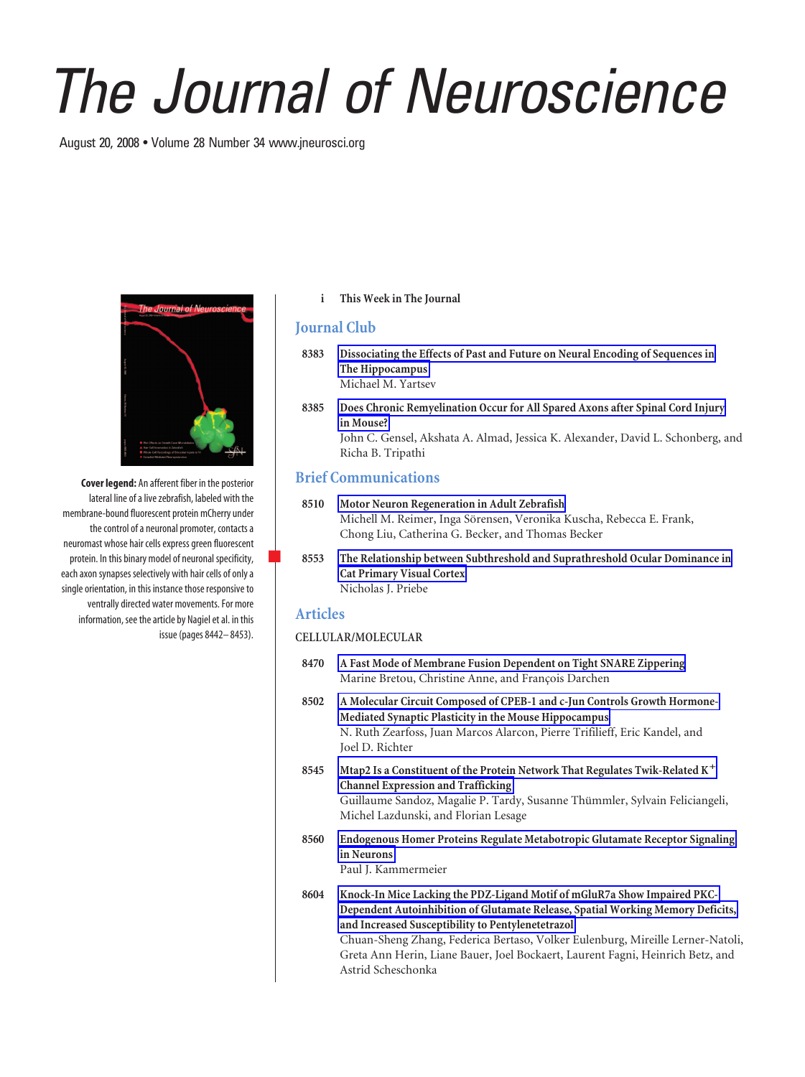# *The Journal of Neuroscience*

August 20, 2008 • Volume 28 Number 34 www.jneurosci.org



**Cover legend:** An afferent fiber in the posterior lateral line of a live zebrafish, labeled with the membrane-bound fluorescent protein mCherry under the control of a neuronal promoter, contacts a neuromast whose hair cells express green fluorescent protein. In this binary model of neuronal specificity, each axon synapses selectively with hair cells of only a single orientation, in this instance those responsive to ventrally directed water movements. For more information, see the article by Nagiel et al. in this issue (pages 8442– 8453).

#### **i This Week in The Journal**

# **Journal Club**

- **8383 Dissociating the Effects of Past and Future on Neural Encoding of Sequences in The Hippocampus** Michael M. Yartsev
- **8385 Does Chronic Remyelination Occur for All Spared Axons after Spinal Cord Injury in Mouse?** John C. Gensel, Akshata A. Almad, Jessica K. Alexander, David L. Schonberg, and

# **Brief Communications**

Richa B. Tripathi

- **8510 Motor Neuron Regeneration in Adult Zebrafish** Michell M. Reimer, Inga Sörensen, Veronika Kuscha, Rebecca E. Frank, Chong Liu, Catherina G. Becker, and Thomas Becker
- f **8553 The Relationship between Subthreshold and Suprathreshold Ocular Dominance in Cat Primary Visual Cortex** Nicholas J. Priebe

### **Articles**

# **CELLULAR/MOLECULAR**

- **8470 A Fast Mode of Membrane Fusion Dependent on Tight SNARE Zippering** Marine Bretou, Christine Anne, and François Darchen
- **8502 A Molecular Circuit Composed of CPEB-1 and c-Jun Controls Growth Hormone-Mediated Synaptic Plasticity in the Mouse Hippocampus** N. Ruth Zearfoss, Juan Marcos Alarcon, Pierre Trifilieff, Eric Kandel, and Joel D. Richter
- **8545 Mtap2 Is a Constituent of the Protein Network That Regulates Twik-Related K Channel Expression and Trafficking** Guillaume Sandoz, Magalie P. Tardy, Susanne Thümmler, Sylvain Feliciangeli, Michel Lazdunski, and Florian Lesage
- **8560 Endogenous Homer Proteins Regulate Metabotropic Glutamate Receptor Signaling in Neurons**

Paul J. Kammermeier

Astrid Scheschonka

**8604 Knock-In Mice Lacking the PDZ-Ligand Motif of mGluR7a Show Impaired PKC-Dependent Autoinhibition of Glutamate Release, Spatial Working Memory Deficits, and Increased Susceptibility to Pentylenetetrazol** Chuan-Sheng Zhang, Federica Bertaso, Volker Eulenburg, Mireille Lerner-Natoli, Greta Ann Herin, Liane Bauer, Joel Bockaert, Laurent Fagni, Heinrich Betz, and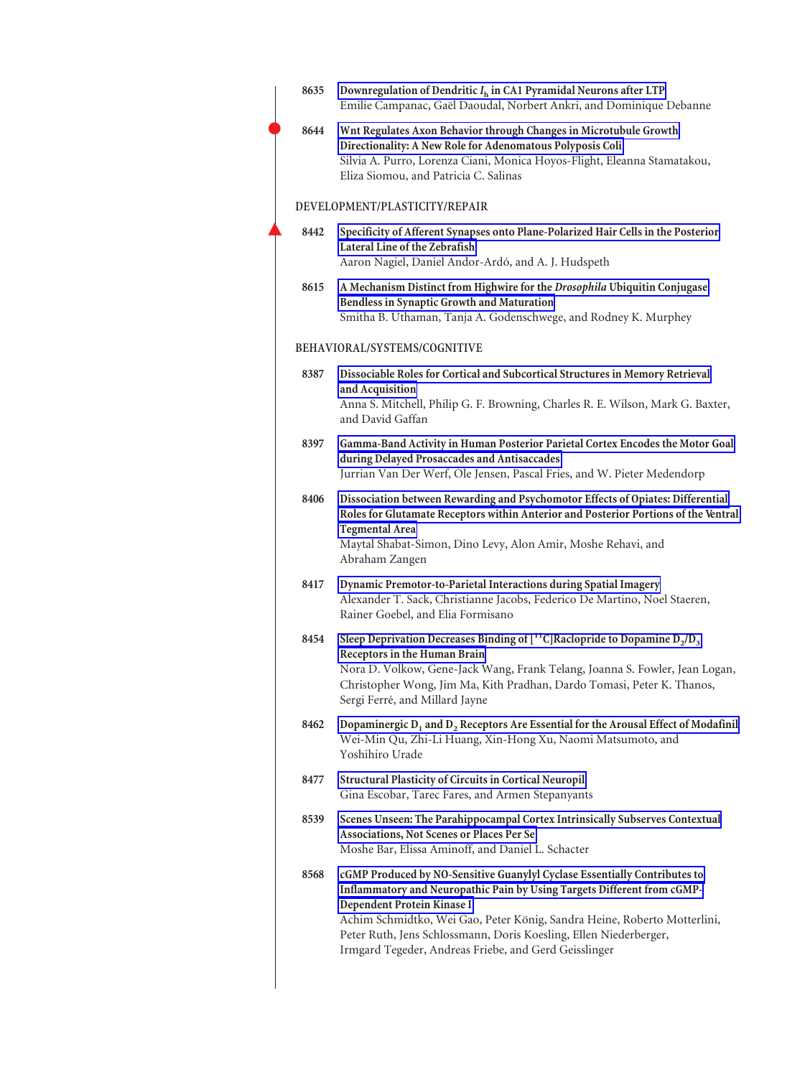| 8635 | Downregulation of Dendritic $I_h$ in CA1 Pyramidal Neurons after LTP<br>Emilie Campanac, Gaël Daoudal, Norbert Ankri, and Dominique Debanne                                                                                                                                                                                                                                                  |
|------|----------------------------------------------------------------------------------------------------------------------------------------------------------------------------------------------------------------------------------------------------------------------------------------------------------------------------------------------------------------------------------------------|
| 8644 | Wnt Regulates Axon Behavior through Changes in Microtubule Growth<br>Directionality: A New Role for Adenomatous Polyposis Coli<br>Silvia A. Purro, Lorenza Ciani, Monica Hoyos-Flight, Eleanna Stamatakou,<br>Eliza Siomou, and Patricia C. Salinas                                                                                                                                          |
|      | DEVELOPMENT/PLASTICITY/REPAIR                                                                                                                                                                                                                                                                                                                                                                |
| 8442 | Specificity of Afferent Synapses onto Plane-Polarized Hair Cells in the Posterior<br>Lateral Line of the Zebrafish<br>Aaron Nagiel, Daniel Andor-Ardó, and A. J. Hudspeth                                                                                                                                                                                                                    |
| 8615 | A Mechanism Distinct from Highwire for the Drosophila Ubiquitin Conjugase<br><b>Bendless in Synaptic Growth and Maturation</b><br>Smitha B. Uthaman, Tanja A. Godenschwege, and Rodney K. Murphey                                                                                                                                                                                            |
|      | BEHAVIORAL/SYSTEMS/COGNITIVE                                                                                                                                                                                                                                                                                                                                                                 |
| 8387 | Dissociable Roles for Cortical and Subcortical Structures in Memory Retrieval<br>and Acquisition<br>Anna S. Mitchell, Philip G. F. Browning, Charles R. E. Wilson, Mark G. Baxter,<br>and David Gaffan                                                                                                                                                                                       |
| 8397 | Gamma-Band Activity in Human Posterior Parietal Cortex Encodes the Motor Goal<br>during Delayed Prosaccades and Antisaccades<br>Jurrian Van Der Werf, Ole Jensen, Pascal Fries, and W. Pieter Medendorp                                                                                                                                                                                      |
| 8406 | Dissociation between Rewarding and Psychomotor Effects of Opiates: Differential<br>Roles for Glutamate Receptors within Anterior and Posterior Portions of the Ventral<br><b>Tegmental Area</b><br>Maytal Shabat-Simon, Dino Levy, Alon Amir, Moshe Rehavi, and<br>Abraham Zangen                                                                                                            |
| 8417 | Dynamic Premotor-to-Parietal Interactions during Spatial Imagery<br>Alexander T. Sack, Christianne Jacobs, Federico De Martino, Noel Staeren,<br>Rainer Goebel, and Elia Formisano                                                                                                                                                                                                           |
| 8454 | Sleep Deprivation Decreases Binding of $[{}^{11}C]$ Raclopride to Dopamine D <sub>2</sub> /D <sub>3</sub><br>Receptors in the Human Brain<br>Nora D. Volkow, Gene-Jack Wang, Frank Telang, Joanna S. Fowler, Jean Logan,<br>Christopher Wong, Jim Ma, Kith Pradhan, Dardo Tomasi, Peter K. Thanos,<br>Sergi Ferré, and Millard Jayne                                                         |
| 8462 | Dopaminergic $D_1$ and $D_2$ Receptors Are Essential for the Arousal Effect of Modafinil<br>Wei-Min Qu, Zhi-Li Huang, Xin-Hong Xu, Naomi Matsumoto, and<br>Yoshihiro Urade                                                                                                                                                                                                                   |
| 8477 | <b>Structural Plasticity of Circuits in Cortical Neuropil</b><br>Gina Escobar, Tarec Fares, and Armen Stepanyants                                                                                                                                                                                                                                                                            |
| 8539 | Scenes Unseen: The Parahippocampal Cortex Intrinsically Subserves Contextual<br>Associations, Not Scenes or Places Per Se<br>Moshe Bar, Elissa Aminoff, and Daniel L. Schacter                                                                                                                                                                                                               |
| 8568 | cGMP Produced by NO-Sensitive Guanylyl Cyclase Essentially Contributes to<br>Inflammatory and Neuropathic Pain by Using Targets Different from cGMP-<br>Dependent Protein Kinase I<br>Achim Schmidtko, Wei Gao, Peter König, Sandra Heine, Roberto Motterlini,<br>Peter Ruth, Jens Schlossmann, Doris Koesling, Ellen Niederberger,<br>Irmgard Tegeder, Andreas Friebe, and Gerd Geisslinger |